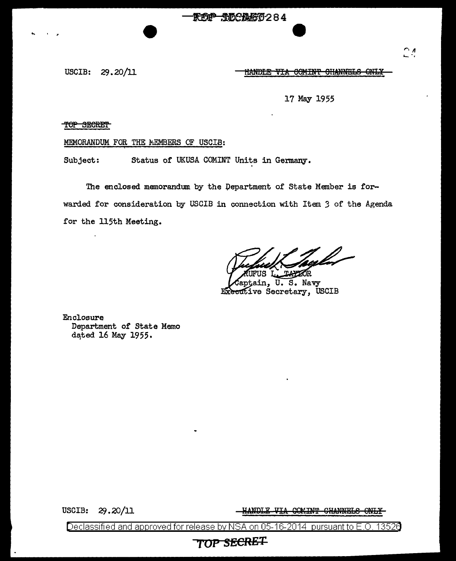RCP TOCAGO284

USCIB: 29.20/11 HANDLE VIA COMINT CHANNELS ONLY

17 May 1955

TOP SECRET

## MEMORANDUM FOR THE MEMBERS OF USCIB:

Subject: Status of UKUSA COMINT Units in Germany.

The enclosed memorandum by the Department of State Member is forwarded for consideration by USCIB in connection with Item 3 of the Agenda for the 115th Meeting.

(ul ZŐR. ΠS

U.S. Navy in, Executive Secretary, USCIB

Enclosure Department of State Memo dated 16 May 1955.

USCIB: 29.20/11 HANDLE VIA COMINT CHANNELS ONLY

Declassified and approved for release by NSA on 05-16-2014 pursuant to E.O. 13526